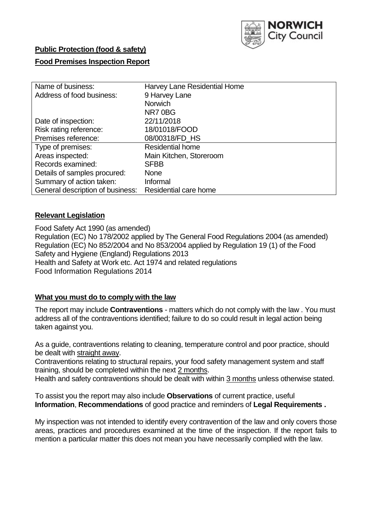

# **Public Protection (food & safety)**

### **Food Premises Inspection Report**

| Name of business:                | Harvey Lane Residential Home |
|----------------------------------|------------------------------|
| Address of food business:        | 9 Harvey Lane                |
|                                  | <b>Norwich</b>               |
|                                  | NR70BG                       |
| Date of inspection:              | 22/11/2018                   |
| Risk rating reference:           | 18/01018/FOOD                |
| Premises reference:              | 08/00318/FD_HS               |
| Type of premises:                | <b>Residential home</b>      |
| Areas inspected:                 | Main Kitchen, Storeroom      |
| Records examined:                | <b>SFBB</b>                  |
| Details of samples procured:     | <b>None</b>                  |
| Summary of action taken:         | Informal                     |
| General description of business: | Residential care home        |

#### **Relevant Legislation**

Food Safety Act 1990 (as amended) Regulation (EC) No 178/2002 applied by The General Food Regulations 2004 (as amended) Regulation (EC) No 852/2004 and No 853/2004 applied by Regulation 19 (1) of the Food Safety and Hygiene (England) Regulations 2013 Health and Safety at Work etc. Act 1974 and related regulations Food Information Regulations 2014

#### **What you must do to comply with the law**

The report may include **Contraventions** - matters which do not comply with the law . You must address all of the contraventions identified; failure to do so could result in legal action being taken against you.

As a guide, contraventions relating to cleaning, temperature control and poor practice, should be dealt with straight away.

Contraventions relating to structural repairs, your food safety management system and staff training, should be completed within the next 2 months.

Health and safety contraventions should be dealt with within 3 months unless otherwise stated.

To assist you the report may also include **Observations** of current practice, useful **Information**, **Recommendations** of good practice and reminders of **Legal Requirements .**

My inspection was not intended to identify every contravention of the law and only covers those areas, practices and procedures examined at the time of the inspection. If the report fails to mention a particular matter this does not mean you have necessarily complied with the law.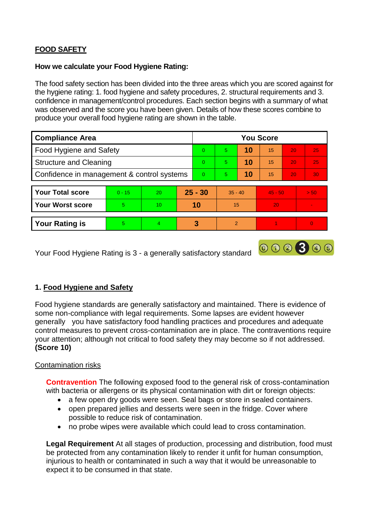# **FOOD SAFETY**

#### **How we calculate your Food Hygiene Rating:**

The food safety section has been divided into the three areas which you are scored against for the hygiene rating: 1. food hygiene and safety procedures, 2. structural requirements and 3. confidence in management/control procedures. Each section begins with a summary of what was observed and the score you have been given. Details of how these scores combine to produce your overall food hygiene rating are shown in the table.

| <b>Compliance Area</b>                     |          |                |          | <b>You Score</b> |               |    |           |                 |      |  |  |
|--------------------------------------------|----------|----------------|----------|------------------|---------------|----|-----------|-----------------|------|--|--|
| Food Hygiene and Safety                    |          |                |          | $\Omega$         | 5             | 10 | 15        | 20              | 25   |  |  |
| <b>Structure and Cleaning</b>              |          |                |          | $\Omega$         | 5             | 10 | 15        | 20              | 25   |  |  |
| Confidence in management & control systems |          |                | $\Omega$ | 5                | 10            | 15 | 20        | 30 <sup>°</sup> |      |  |  |
|                                            |          |                |          |                  |               |    |           |                 |      |  |  |
| <b>Your Total score</b>                    | $0 - 15$ | 20             |          | $25 - 30$        | $35 - 40$     |    | $45 - 50$ |                 | > 50 |  |  |
| <b>Your Worst score</b>                    | 5.       | 10             |          | 10               | 15            |    | 20        |                 |      |  |  |
|                                            |          |                |          |                  |               |    |           |                 |      |  |  |
| <b>Your Rating is</b>                      | 5        | $\overline{4}$ | 3        |                  | $\mathcal{P}$ |    |           |                 | 0    |  |  |

Your Food Hygiene Rating is 3 - a generally satisfactory standard

# **1. Food Hygiene and Safety**

Food hygiene standards are generally satisfactory and maintained. There is evidence of some non-compliance with legal requirements. Some lapses are evident however generally you have satisfactory food handling practices and procedures and adequate control measures to prevent cross-contamination are in place. The contraventions require your attention; although not critical to food safety they may become so if not addressed. **(Score 10)**

000300

#### Contamination risks

**Contravention** The following exposed food to the general risk of cross-contamination with bacteria or allergens or its physical contamination with dirt or foreign objects:

- a few open dry goods were seen. Seal bags or store in sealed containers.
- open prepared jellies and desserts were seen in the fridge. Cover where possible to reduce risk of contamination.
- no probe wipes were available which could lead to cross contamination.

**Legal Requirement** At all stages of production, processing and distribution, food must be protected from any contamination likely to render it unfit for human consumption, injurious to health or contaminated in such a way that it would be unreasonable to expect it to be consumed in that state.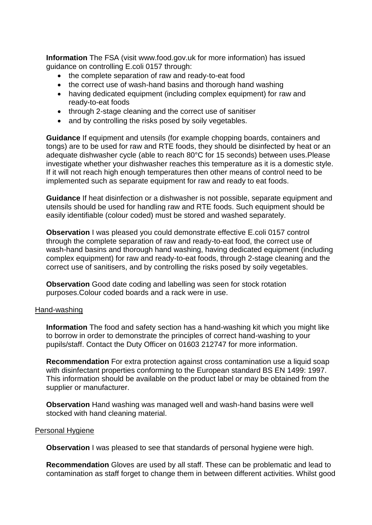**Information** The FSA (visit www.food.gov.uk for more information) has issued guidance on controlling E.coli 0157 through:

- the complete separation of raw and ready-to-eat food
- the correct use of wash-hand basins and thorough hand washing
- having dedicated equipment (including complex equipment) for raw and ready-to-eat foods
- through 2-stage cleaning and the correct use of sanitiser
- and by controlling the risks posed by soily vegetables.

**Guidance** If equipment and utensils (for example chopping boards, containers and tongs) are to be used for raw and RTE foods, they should be disinfected by heat or an adequate dishwasher cycle (able to reach 80°C for 15 seconds) between uses.Please investigate whether your dishwasher reaches this temperature as it is a domestic style. If it will not reach high enough temperatures then other means of control need to be implemented such as separate equipment for raw and ready to eat foods.

**Guidance** If heat disinfection or a dishwasher is not possible, separate equipment and utensils should be used for handling raw and RTE foods. Such equipment should be easily identifiable (colour coded) must be stored and washed separately.

**Observation** I was pleased you could demonstrate effective E.coli 0157 control through the complete separation of raw and ready-to-eat food, the correct use of wash-hand basins and thorough hand washing, having dedicated equipment (including complex equipment) for raw and ready-to-eat foods, through 2-stage cleaning and the correct use of sanitisers, and by controlling the risks posed by soily vegetables.

**Observation** Good date coding and labelling was seen for stock rotation purposes.Colour coded boards and a rack were in use.

#### Hand-washing

**Information** The food and safety section has a hand-washing kit which you might like to borrow in order to demonstrate the principles of correct hand-washing to your pupils/staff. Contact the Duty Officer on 01603 212747 for more information.

**Recommendation** For extra protection against cross contamination use a liquid soap with disinfectant properties conforming to the European standard BS EN 1499: 1997. This information should be available on the product label or may be obtained from the supplier or manufacturer.

**Observation** Hand washing was managed well and wash-hand basins were well stocked with hand cleaning material.

#### Personal Hygiene

**Observation** I was pleased to see that standards of personal hygiene were high.

**Recommendation** Gloves are used by all staff. These can be problematic and lead to contamination as staff forget to change them in between different activities. Whilst good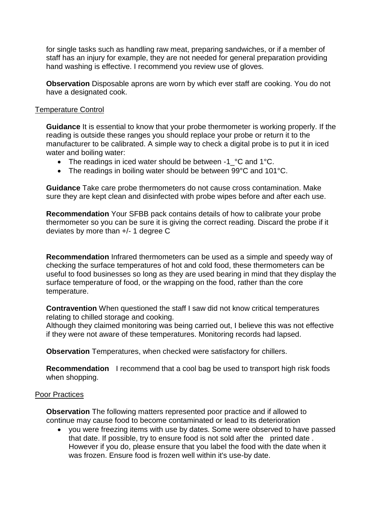for single tasks such as handling raw meat, preparing sandwiches, or if a member of staff has an injury for example, they are not needed for general preparation providing hand washing is effective. I recommend you review use of gloves.

**Observation** Disposable aprons are worn by which ever staff are cooking. You do not have a designated cook.

#### Temperature Control

**Guidance** It is essential to know that your probe thermometer is working properly. If the reading is outside these ranges you should replace your probe or return it to the manufacturer to be calibrated. A simple way to check a digital probe is to put it in iced water and boiling water:

- The readings in iced water should be between -1 °C and 1°C.
- The readings in boiling water should be between 99°C and 101°C.

**Guidance** Take care probe thermometers do not cause cross contamination. Make sure they are kept clean and disinfected with probe wipes before and after each use.

**Recommendation** Your SFBB pack contains details of how to calibrate your probe thermometer so you can be sure it is giving the correct reading. Discard the probe if it deviates by more than +/- 1 degree C

**Recommendation** Infrared thermometers can be used as a simple and speedy way of checking the surface temperatures of hot and cold food, these thermometers can be useful to food businesses so long as they are used bearing in mind that they display the surface temperature of food, or the wrapping on the food, rather than the core temperature.

**Contravention** When questioned the staff I saw did not know critical temperatures relating to chilled storage and cooking.

Although they claimed monitoring was being carried out, I believe this was not effective if they were not aware of these temperatures. Monitoring records had lapsed.

**Observation** Temperatures, when checked were satisfactory for chillers.

**Recommendation** I recommend that a cool bag be used to transport high risk foods when shopping.

#### Poor Practices

**Observation** The following matters represented poor practice and if allowed to continue may cause food to become contaminated or lead to its deterioration

 you were freezing items with use by dates. Some were observed to have passed that date. If possible, try to ensure food is not sold after the printed date . However if you do, please ensure that you label the food with the date when it was frozen. Ensure food is frozen well within it's use-by date.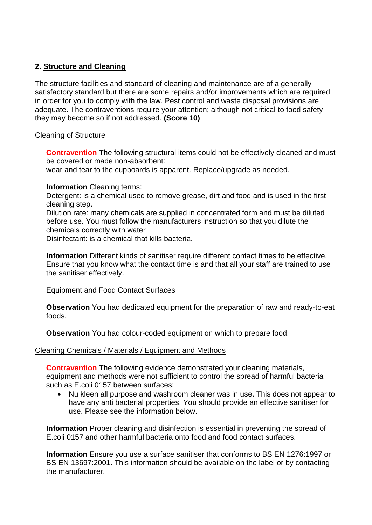## **2. Structure and Cleaning**

The structure facilities and standard of cleaning and maintenance are of a generally satisfactory standard but there are some repairs and/or improvements which are required in order for you to comply with the law. Pest control and waste disposal provisions are adequate. The contraventions require your attention; although not critical to food safety they may become so if not addressed. **(Score 10)**

#### Cleaning of Structure

**Contravention** The following structural items could not be effectively cleaned and must be covered or made non-absorbent:

wear and tear to the cupboards is apparent. Replace/upgrade as needed.

#### **Information** Cleaning terms:

Detergent: is a chemical used to remove grease, dirt and food and is used in the first cleaning step.

Dilution rate: many chemicals are supplied in concentrated form and must be diluted before use. You must follow the manufacturers instruction so that you dilute the chemicals correctly with water

Disinfectant: is a chemical that kills bacteria.

**Information** Different kinds of sanitiser require different contact times to be effective. Ensure that you know what the contact time is and that all your staff are trained to use the sanitiser effectively.

#### Equipment and Food Contact Surfaces

**Observation** You had dedicated equipment for the preparation of raw and ready-to-eat foods.

**Observation** You had colour-coded equipment on which to prepare food.

#### Cleaning Chemicals / Materials / Equipment and Methods

**Contravention** The following evidence demonstrated your cleaning materials, equipment and methods were not sufficient to control the spread of harmful bacteria such as E.coli 0157 between surfaces:

• Nu kleen all purpose and washroom cleaner was in use. This does not appear to have any anti bacterial properties. You should provide an effective sanitiser for use. Please see the information below.

**Information** Proper cleaning and disinfection is essential in preventing the spread of E.coli 0157 and other harmful bacteria onto food and food contact surfaces.

**Information** Ensure you use a surface sanitiser that conforms to BS EN 1276:1997 or BS EN 13697:2001. This information should be available on the label or by contacting the manufacturer.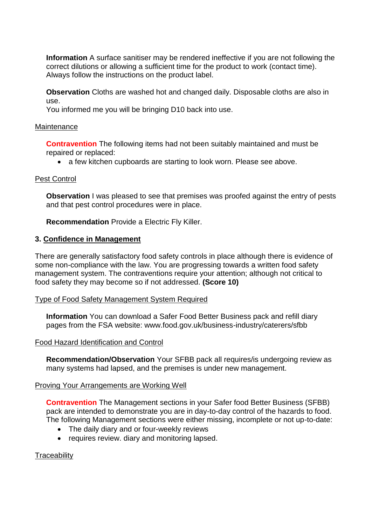**Information** A surface sanitiser may be rendered ineffective if you are not following the correct dilutions or allowing a sufficient time for the product to work (contact time). Always follow the instructions on the product label.

**Observation** Cloths are washed hot and changed daily. Disposable cloths are also in use.

You informed me you will be bringing D10 back into use.

#### Maintenance

**Contravention** The following items had not been suitably maintained and must be repaired or replaced:

• a few kitchen cupboards are starting to look worn. Please see above.

#### Pest Control

**Observation** I was pleased to see that premises was proofed against the entry of pests and that pest control procedures were in place.

**Recommendation** Provide a Electric Fly Killer.

## **3. Confidence in Management**

There are generally satisfactory food safety controls in place although there is evidence of some non-compliance with the law. You are progressing towards a written food safety management system. The contraventions require your attention; although not critical to food safety they may become so if not addressed. **(Score 10)**

#### Type of Food Safety Management System Required

**Information** You can download a Safer Food Better Business pack and refill diary pages from the FSA website: www.food.gov.uk/business-industry/caterers/sfbb

#### Food Hazard Identification and Control

**Recommendation/Observation** Your SFBB pack all requires/is undergoing review as many systems had lapsed, and the premises is under new management.

#### Proving Your Arrangements are Working Well

**Contravention** The Management sections in your Safer food Better Business (SFBB) pack are intended to demonstrate you are in day-to-day control of the hazards to food. The following Management sections were either missing, incomplete or not up-to-date:

- The daily diary and or four-weekly reviews
- requires review. diary and monitoring lapsed.

#### **Traceability**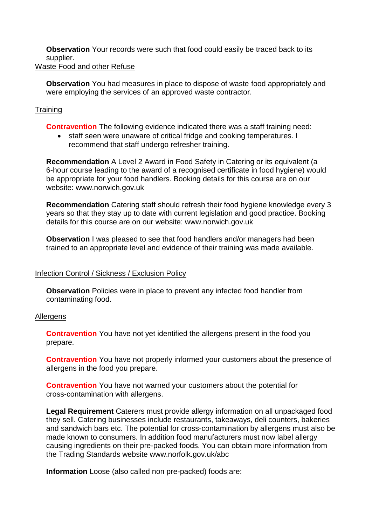**Observation** Your records were such that food could easily be traced back to its supplier.

# Waste Food and other Refuse

**Observation** You had measures in place to dispose of waste food appropriately and were employing the services of an approved waste contractor.

## **Training**

**Contravention** The following evidence indicated there was a staff training need:

• staff seen were unaware of critical fridge and cooking temperatures. I recommend that staff undergo refresher training.

**Recommendation** A Level 2 Award in Food Safety in Catering or its equivalent (a 6-hour course leading to the award of a recognised certificate in food hygiene) would be appropriate for your food handlers. Booking details for this course are on our website: www.norwich.gov.uk

**Recommendation** Catering staff should refresh their food hygiene knowledge every 3 years so that they stay up to date with current legislation and good practice. Booking details for this course are on our website: www.norwich.gov.uk

**Observation** I was pleased to see that food handlers and/or managers had been trained to an appropriate level and evidence of their training was made available.

#### Infection Control / Sickness / Exclusion Policy

**Observation** Policies were in place to prevent any infected food handler from contaminating food.

#### **Allergens**

**Contravention** You have not yet identified the allergens present in the food you prepare.

**Contravention** You have not properly informed your customers about the presence of allergens in the food you prepare.

**Contravention** You have not warned your customers about the potential for cross-contamination with allergens.

**Legal Requirement** Caterers must provide allergy information on all unpackaged food they sell. Catering businesses include restaurants, takeaways, deli counters, bakeries and sandwich bars etc. The potential for cross-contamination by allergens must also be made known to consumers. In addition food manufacturers must now label allergy causing ingredients on their pre-packed foods. You can obtain more information from the Trading Standards website www.norfolk.gov.uk/abc

**Information** Loose (also called non pre-packed) foods are: